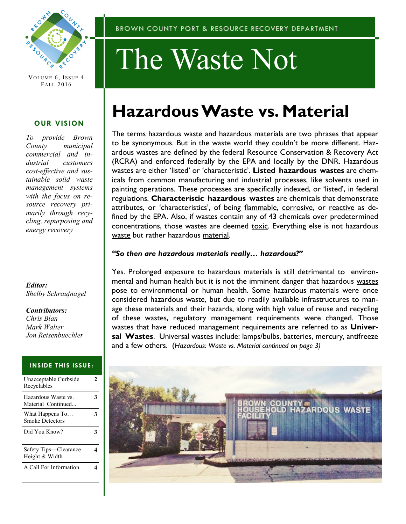

VOLUME 6, ISSUE 4 FALL 2016

#### **OUR VISION**

*To provide Brown County municipal commercial and industrial customers cost-effective and sustainable solid waste management systems with the focus on resource recovery primarily through recycling, repurposing and energy recovery*

*Editor: Shelby Schraufnagel*

*Contributors: Chris Blan Mark Walter Jon Reisenbuechler* 

#### **INSIDE THIS ISSUE:**

| Unacceptable Curbside<br>Recyclables      | 2 |
|-------------------------------------------|---|
| Hazardous Waste vs.<br>Material Continued | 3 |
| What Happens To<br><b>Smoke Detectors</b> | 3 |
| Did You Know?                             | 3 |
| Safety Tips—Clearance<br>Height & Width   |   |
| A Call For Information                    |   |

# The Waste Not

# **Hazardous Waste vs. Material**

The terms hazardous waste and hazardous materials are two phrases that appear to be synonymous. But in the waste world they couldn't be more different. Hazardous wastes are defined by the federal Resource Conservation & Recovery Act (RCRA) and enforced federally by the EPA and locally by the DNR. Hazardous wastes are either 'listed' or 'characteristic'. **Listed hazardous wastes** are chemicals from common manufacturing and industrial processes, like solvents used in painting operations. These processes are specifically indexed, or 'listed', in federal regulations. **Characteristic hazardous wastes** are chemicals that demonstrate attributes, or 'characteristics', of being flammable, corrosive, or reactive as defined by the EPA. Also, if wastes contain any of 43 chemicals over predetermined concentrations, those wastes are deemed toxic. Everything else is not hazardous waste but rather hazardous material.

#### *"So then are hazardous materials really… hazardous?"*

Yes. Prolonged exposure to hazardous materials is still detrimental to environmental and human health but it is not the imminent danger that hazardous wastes pose to environmental or human health. Some hazardous materials were once considered hazardous waste, but due to readily available infrastructures to manage these materials and their hazards, along with high value of reuse and recycling of these wastes, regulatory management requirements were changed. Those wastes that have reduced management requirements are referred to as **Universal Wastes**. Universal wastes include: lamps/bulbs, batteries, mercury, antifreeze and a few others. (*Hazardous: Waste vs. Material continued on page 3)*

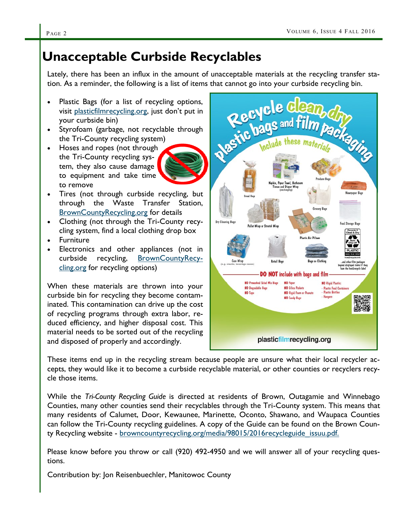## **Unacceptable Curbside Recyclables**

Lately, there has been an influx in the amount of unacceptable materials at the recycling transfer sta-

- Plastic Bags (for a list of recycling options, visit <plasticfilmrecycling.org>, just don't put in your curbside bin)
- Styrofoam (garbage, not recyclable through the Tri-County recycling system)
- Hoses and ropes (not through the Tri-County recycling system, they also cause damage to equipment and take time to remove
- Tires (not through curbside recycling, but through the Waste Transfer Station, <BrownCountyRecycling.org> for details
- Clothing (not through the Tri-County recycling system, find a local clothing drop box
- Furniture
- Electronics and other appliances (not in curbside recycling, [BrownCountyRecy](BrownCountyRecycling.org)[cling.org](BrownCountyRecycling.org) for recycling options)

When these materials are thrown into your curbside bin for recycling they become contaminated. This contamination can drive up the cost of recycling programs through extra labor, reduced efficiency, and higher disposal cost. This material needs to be sorted out of the recycling and disposed of properly and accordingly.

tion. As a reminder, the following is a list of items that cannot go into your curbside recycling bin.<br>
• Plastic Bags (for a list of recycling options, visit plasticfilmrecycling.org, just don't put in<br>
your curbside bin) packaging Pallet Wrap or Stretch W **DO NOT** include with bags and film NO Prewashed Salad Mix Bags **NO** Paper **NO** Rigid Plastic **NO** Degradable Bags **NO Siling Pankato Plastic Food Contain<br>Plastic Bottles NO** Tape **NO** Rigid Foam or Peanuts **NO Candy Bass** plasticfilmrecycling.org

These items end up in the recycling stream because people are unsure what their local recycler accepts, they would like it to become a curbside recyclable material, or other counties or recyclers recycle those items.

While the *Tri-County Recycling Guide* is directed at residents of Brown, Outagamie and Winnebago Counties, many other counties send their recyclables through the Tri-County system. This means that many residents of Calumet, Door, Kewaunee, Marinette, Oconto, Shawano, and Waupaca Counties can follow the Tri-County recycling guidelines. A copy of the Guide can be found on the Brown County Recycling website - browncountyrecycling.org/media/98015/2016recycleguide issuu.pdf.

Please know before you throw or call (920) 492-4950 and we will answer all of your recycling questions.

Contribution by: Jon Reisenbuechler, Manitowoc County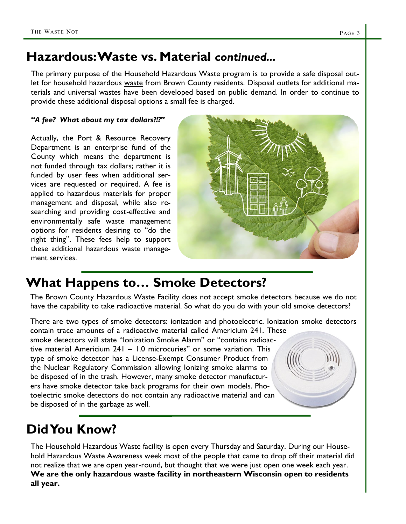## **Hazardous: Waste vs. Material** *continued...*

The primary purpose of the Household Hazardous Waste program is to provide a safe disposal outlet for household hazardous waste from Brown County residents. Disposal outlets for additional materials and universal wastes have been developed based on public demand. In order to continue to provide these additional disposal options a small fee is charged.

#### *"A fee? What about my tax dollars?!?"*

Actually, the Port & Resource Recovery Department is an enterprise fund of the County which means the department is not funded through tax dollars; rather it is funded by user fees when additional services are requested or required. A fee is applied to hazardous materials for proper management and disposal, while also researching and providing cost-effective and environmentally safe waste management options for residents desiring to "do the right thing". These fees help to support these additional hazardous waste management services.



## **What Happens to… Smoke Detectors?**

The Brown County Hazardous Waste Facility does not accept smoke detectors because we do not have the capability to take radioactive material. So what do you do with your old smoke detectors?

There are two types of smoke detectors: ionization and photoelectric. Ionization smoke detectors contain trace amounts of a radioactive material called Americium 241. These smoke detectors will state "Ionization Smoke Alarm" or "contains radioactive material Americium 241 – 1.0 microcuries" or some variation. This type of smoke detector has a License-Exempt Consumer Product from the Nuclear Regulatory Commission allowing Ionizing smoke alarms to be disposed of in the trash. However, many smoke detector manufacturers have smoke detector take back programs for their own models. Photoelectric smoke detectors do not contain any radioactive material and can be disposed of in the garbage as well.

## **Did You Know?**

The Household Hazardous Waste facility is open every Thursday and Saturday. During our Household Hazardous Waste Awareness week most of the people that came to drop off their material did not realize that we are open year-round, but thought that we were just open one week each year. **We are the only hazardous waste facility in northeastern Wisconsin open to residents all year.**